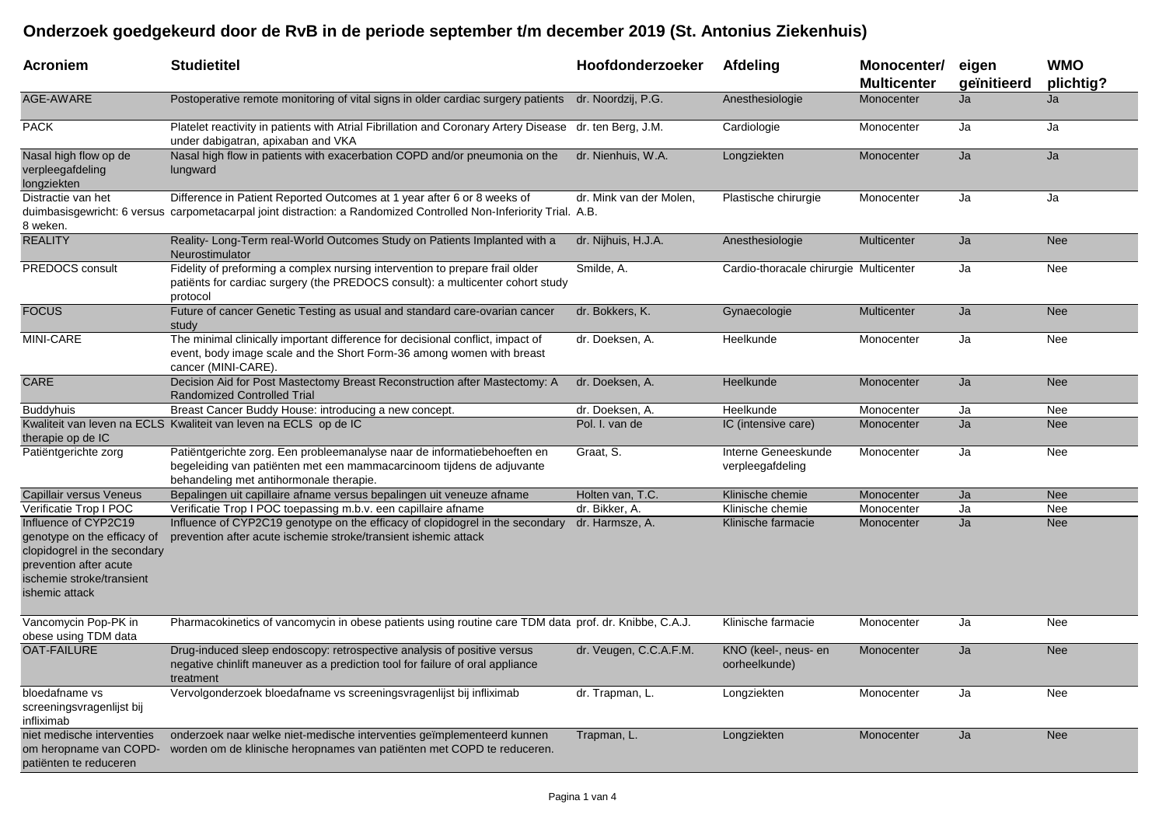## **Onderzoek goedgekeurd door de RvB in de periode september t/m december 2019 (St. Antonius Ziekenhuis)**

| <b>Acroniem</b>                                                                                                                                              | <b>Studietitel</b>                                                                                                                                                                            | Hoofdonderzoeker        | Afdeling                                | Monocenter/<br><b>Multicenter</b> | eigen<br>geïnitieerd | <b>WMO</b><br>plichtig? |
|--------------------------------------------------------------------------------------------------------------------------------------------------------------|-----------------------------------------------------------------------------------------------------------------------------------------------------------------------------------------------|-------------------------|-----------------------------------------|-----------------------------------|----------------------|-------------------------|
| AGE-AWARE                                                                                                                                                    | Postoperative remote monitoring of vital signs in older cardiac surgery patients                                                                                                              | dr. Noordzij, P.G.      | Anesthesiologie                         | Monocenter                        | Ja                   | Ja                      |
| PACK                                                                                                                                                         | Platelet reactivity in patients with Atrial Fibrillation and Coronary Artery Disease dr. ten Berg, J.M.<br>under dabigatran, apixaban and VKA                                                 |                         | Cardiologie                             | Monocenter                        | Ja                   | Ja                      |
| Nasal high flow op de<br>verpleegafdeling<br>longziekten                                                                                                     | Nasal high flow in patients with exacerbation COPD and/or pneumonia on the<br>lungward                                                                                                        | dr. Nienhuis, W.A.      | Longziekten                             | Monocenter                        | Ja                   | Ja                      |
| Distractie van het<br>8 weken.                                                                                                                               | Difference in Patient Reported Outcomes at 1 year after 6 or 8 weeks of<br>duimbasisgewricht: 6 versus carpometacarpal joint distraction: a Randomized Controlled Non-Inferiority Trial. A.B. | dr. Mink van der Molen, | Plastische chirurgie                    | Monocenter                        | Ja                   | Ja                      |
| <b>REALITY</b>                                                                                                                                               | Reality-Long-Term real-World Outcomes Study on Patients Implanted with a<br>Neurostimulator                                                                                                   | dr. Nijhuis, H.J.A.     | Anesthesiologie                         | Multicenter                       | Ja                   | Nee                     |
| PREDOCS consult                                                                                                                                              | Fidelity of preforming a complex nursing intervention to prepare frail older<br>patiënts for cardiac surgery (the PREDOCS consult): a multicenter cohort study<br>protocol                    | Smilde, A.              | Cardio-thoracale chirurgie Multicenter  |                                   | Ja                   | Nee                     |
| <b>FOCUS</b>                                                                                                                                                 | Future of cancer Genetic Testing as usual and standard care-ovarian cancer<br>study                                                                                                           | dr. Bokkers, K.         | Gynaecologie                            | <b>Multicenter</b>                | Ja                   | <b>Nee</b>              |
| MINI-CARE                                                                                                                                                    | The minimal clinically important difference for decisional conflict, impact of<br>event, body image scale and the Short Form-36 among women with breast<br>cancer (MINI-CARE).                | dr. Doeksen, A.         | Heelkunde                               | Monocenter                        | Ja                   | Nee                     |
| CARE                                                                                                                                                         | Decision Aid for Post Mastectomy Breast Reconstruction after Mastectomy: A<br><b>Randomized Controlled Trial</b>                                                                              | dr. Doeksen, A.         | <b>Heelkunde</b>                        | Monocenter                        | Ja                   | <b>Nee</b>              |
| <b>Buddyhuis</b>                                                                                                                                             | Breast Cancer Buddy House: introducing a new concept.                                                                                                                                         | dr. Doeksen, A.         | Heelkunde                               | Monocenter                        | Ja                   | Nee                     |
| therapie op de IC                                                                                                                                            | Kwaliteit van leven na ECLS Kwaliteit van leven na ECLS op de IC                                                                                                                              | Pol. I. van de          | IC (intensive care)                     | Monocenter                        | Ja                   | <b>Nee</b>              |
| Patiëntgerichte zorg                                                                                                                                         | Patiëntgerichte zorg. Een probleemanalyse naar de informatiebehoeften en<br>begeleiding van patiënten met een mammacarcinoom tijdens de adjuvante<br>behandeling met antihormonale therapie.  | Graat, S.               | Interne Geneeskunde<br>verpleegafdeling | Monocenter                        | Ja                   | Nee                     |
| Capillair versus Veneus                                                                                                                                      | Bepalingen uit capillaire afname versus bepalingen uit veneuze afname                                                                                                                         | Holten van, T.C.        | Klinische chemie                        | Monocenter                        | Ja                   | <b>Nee</b>              |
| Verificatie Trop I POC                                                                                                                                       | Verificatie Trop I POC toepassing m.b.v. een capillaire afname                                                                                                                                | dr. Bikker, A.          | Klinische chemie                        | Monocenter                        | Ja                   | Nee                     |
| Influence of CYP2C19<br>genotype on the efficacy of<br>clopidogrel in the secondary<br>prevention after acute<br>ischemie stroke/transient<br>ishemic attack | Influence of CYP2C19 genotype on the efficacy of clopidogrel in the secondary<br>prevention after acute ischemie stroke/transient ishemic attack                                              | dr. Harmsze, A.         | Klinische farmacie                      | Monocenter                        | Ja                   | <b>Nee</b>              |
| Vancomycin Pop-PK in<br>obese using TDM data                                                                                                                 | Pharmacokinetics of vancomycin in obese patients using routine care TDM data prof. dr. Knibbe, C.A.J.                                                                                         |                         | Klinische farmacie                      | Monocenter                        | Ja                   | Nee                     |
| <b>OAT-FAILURE</b>                                                                                                                                           | Drug-induced sleep endoscopy: retrospective analysis of positive versus<br>negative chinlift maneuver as a prediction tool for failure of oral appliance<br>treatment                         | dr. Veugen, C.C.A.F.M.  | KNO (keel-, neus- en<br>oorheelkunde)   | Monocenter                        | Ja                   | <b>Nee</b>              |
| bloedafname vs<br>screeningsvragenlijst bij<br>infliximab                                                                                                    | Vervolgonderzoek bloedafname vs screeningsvragenlijst bij infliximab                                                                                                                          | dr. Trapman, L.         | Longziekten                             | Monocenter                        | Ja                   | <b>Nee</b>              |
| niet medische interventies<br>om heropname van COPD-<br>patiënten te reduceren                                                                               | onderzoek naar welke niet-medische interventies geïmplementeerd kunnen<br>worden om de klinische heropnames van patiënten met COPD te reduceren.                                              | Trapman, L.             | Longziekten                             | Monocenter                        | Ja                   | <b>Nee</b>              |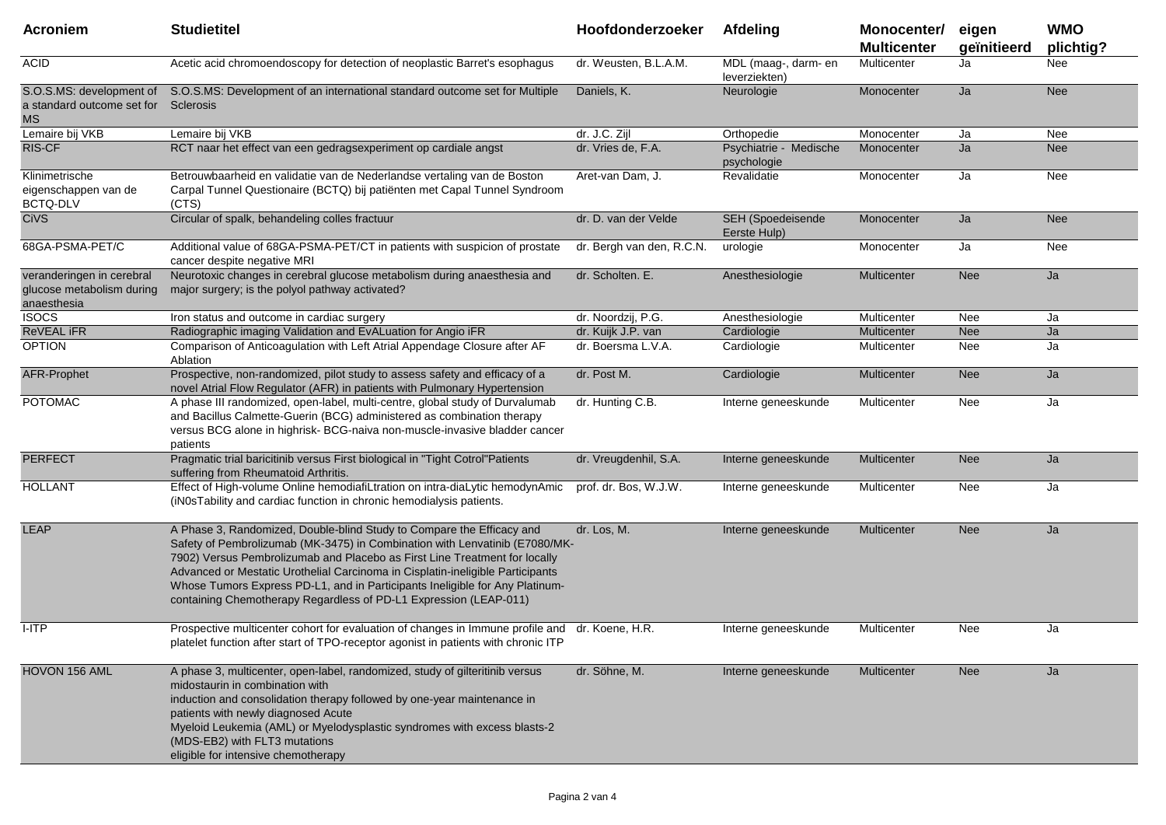| <b>Acroniem</b>                                                       | <b>Studietitel</b>                                                                                                                                                                                                                                                                                                                                                                                                                                                        | Hoofdonderzoeker          | Afdeling                              | Monocenter/<br><b>Multicenter</b> | eigen<br>geïnitieerd | <b>WMO</b><br>plichtig? |
|-----------------------------------------------------------------------|---------------------------------------------------------------------------------------------------------------------------------------------------------------------------------------------------------------------------------------------------------------------------------------------------------------------------------------------------------------------------------------------------------------------------------------------------------------------------|---------------------------|---------------------------------------|-----------------------------------|----------------------|-------------------------|
| <b>ACID</b>                                                           | Acetic acid chromoendoscopy for detection of neoplastic Barret's esophagus                                                                                                                                                                                                                                                                                                                                                                                                | dr. Weusten, B.L.A.M.     | MDL (maag-, darm- en<br>leverziekten) | Multicenter                       | Ja                   | Nee                     |
| S.O.S.MS: development of<br>a standard outcome set for<br><b>MS</b>   | S.O.S.MS: Development of an international standard outcome set for Multiple<br>Sclerosis                                                                                                                                                                                                                                                                                                                                                                                  | Daniels, K.               | Neurologie                            | Monocenter                        | Ja                   | <b>Nee</b>              |
| Lemaire bij VKB                                                       | Lemaire bij VKB                                                                                                                                                                                                                                                                                                                                                                                                                                                           | dr. J.C. Zijl             | Orthopedie                            | Monocenter                        | Ja                   | Nee                     |
| <b>RIS-CF</b>                                                         | RCT naar het effect van een gedragsexperiment op cardiale angst                                                                                                                                                                                                                                                                                                                                                                                                           | dr. Vries de, F.A.        | Psychiatrie - Medische<br>psychologie | Monocenter                        | Ja                   | <b>Nee</b>              |
| Klinimetrische<br>eigenschappen van de<br>BCTQ-DLV                    | Betrouwbaarheid en validatie van de Nederlandse vertaling van de Boston<br>Carpal Tunnel Questionaire (BCTQ) bij patiënten met Capal Tunnel Syndroom<br>(CTS)                                                                                                                                                                                                                                                                                                             | Aret-van Dam, J.          | Revalidatie                           | Monocenter                        | Ja                   | Nee                     |
| <b>CiVS</b>                                                           | Circular of spalk, behandeling colles fractuur                                                                                                                                                                                                                                                                                                                                                                                                                            | dr. D. van der Velde      | SEH (Spoedeisende<br>Eerste Hulp)     | Monocenter                        | Ja                   | <b>Nee</b>              |
| 68GA-PSMA-PET/C                                                       | Additional value of 68GA-PSMA-PET/CT in patients with suspicion of prostate<br>cancer despite negative MRI                                                                                                                                                                                                                                                                                                                                                                | dr. Bergh van den, R.C.N. | urologie                              | Monocenter                        | Ja                   | Nee                     |
| veranderingen in cerebral<br>glucose metabolism during<br>anaesthesia | Neurotoxic changes in cerebral glucose metabolism during anaesthesia and<br>major surgery; is the polyol pathway activated?                                                                                                                                                                                                                                                                                                                                               | dr. Scholten. E.          | Anesthesiologie                       | <b>Multicenter</b>                | <b>Nee</b>           | Ja                      |
| <b>ISOCS</b>                                                          | Iron status and outcome in cardiac surgery                                                                                                                                                                                                                                                                                                                                                                                                                                | dr. Noordzij, P.G.        | Anesthesiologie                       | Multicenter                       | Nee                  | Ja                      |
| ReVEAL IFR                                                            | Radiographic imaging Validation and EvALuation for Angio iFR                                                                                                                                                                                                                                                                                                                                                                                                              | dr. Kuijk J.P. van        | Cardiologie                           | Multicenter                       | <b>Nee</b>           | Ja                      |
| <b>OPTION</b>                                                         | Comparison of Anticoagulation with Left Atrial Appendage Closure after AF<br>Ablation                                                                                                                                                                                                                                                                                                                                                                                     | dr. Boersma L.V.A.        | Cardiologie                           | Multicenter                       | Nee                  | Ja                      |
| <b>AFR-Prophet</b>                                                    | Prospective, non-randomized, pilot study to assess safety and efficacy of a<br>novel Atrial Flow Regulator (AFR) in patients with Pulmonary Hypertension                                                                                                                                                                                                                                                                                                                  | dr. Post M.               | Cardiologie                           | <b>Multicenter</b>                | <b>Nee</b>           | Ja                      |
| <b>POTOMAC</b>                                                        | A phase III randomized, open-label, multi-centre, global study of Durvalumab<br>and Bacillus Calmette-Guerin (BCG) administered as combination therapy<br>versus BCG alone in highrisk- BCG-naiva non-muscle-invasive bladder cancer<br>patients                                                                                                                                                                                                                          | dr. Hunting C.B.          | Interne geneeskunde                   | Multicenter                       | Nee                  | Ja                      |
| <b>PERFECT</b>                                                        | Pragmatic trial baricitinib versus First biological in "Tight Cotrol"Patients<br>suffering from Rheumatoid Arthritis.                                                                                                                                                                                                                                                                                                                                                     | dr. Vreugdenhil, S.A.     | Interne geneeskunde                   | Multicenter                       | <b>Nee</b>           | Ja                      |
| <b>HOLLANT</b>                                                        | Effect of High-volume Online hemodiafiLtration on intra-diaLytic hemodynAmic<br>(iN0sTability and cardiac function in chronic hemodialysis patients.                                                                                                                                                                                                                                                                                                                      | prof. dr. Bos, W.J.W.     | Interne geneeskunde                   | Multicenter                       | Nee                  | Ja                      |
| <b>LEAP</b>                                                           | A Phase 3, Randomized, Double-blind Study to Compare the Efficacy and<br>Safety of Pembrolizumab (MK-3475) in Combination with Lenvatinib (E7080/MK-<br>7902) Versus Pembrolizumab and Placebo as First Line Treatment for locally<br>Advanced or Mestatic Urothelial Carcinoma in Cisplatin-ineligible Participants<br>Whose Tumors Express PD-L1, and in Participants Ineligible for Any Platinum-<br>containing Chemotherapy Regardless of PD-L1 Expression (LEAP-011) | dr. Los, M.               | Interne geneeskunde                   | <b>Multicenter</b>                | <b>Nee</b>           | Ja                      |
| I-ITP                                                                 | Prospective multicenter cohort for evaluation of changes in Immune profile and dr. Koene, H.R.<br>platelet function after start of TPO-receptor agonist in patients with chronic ITP                                                                                                                                                                                                                                                                                      |                           | Interne geneeskunde                   | Multicenter                       | Nee                  | Ja                      |
| HOVON 156 AML                                                         | A phase 3, multicenter, open-label, randomized, study of gilteritinib versus<br>midostaurin in combination with<br>induction and consolidation therapy followed by one-year maintenance in<br>patients with newly diagnosed Acute<br>Myeloid Leukemia (AML) or Myelodysplastic syndromes with excess blasts-2<br>(MDS-EB2) with FLT3 mutations<br>eligible for intensive chemotherapy                                                                                     | dr. Söhne, M.             | Interne geneeskunde                   | <b>Multicenter</b>                | <b>Nee</b>           | Ja                      |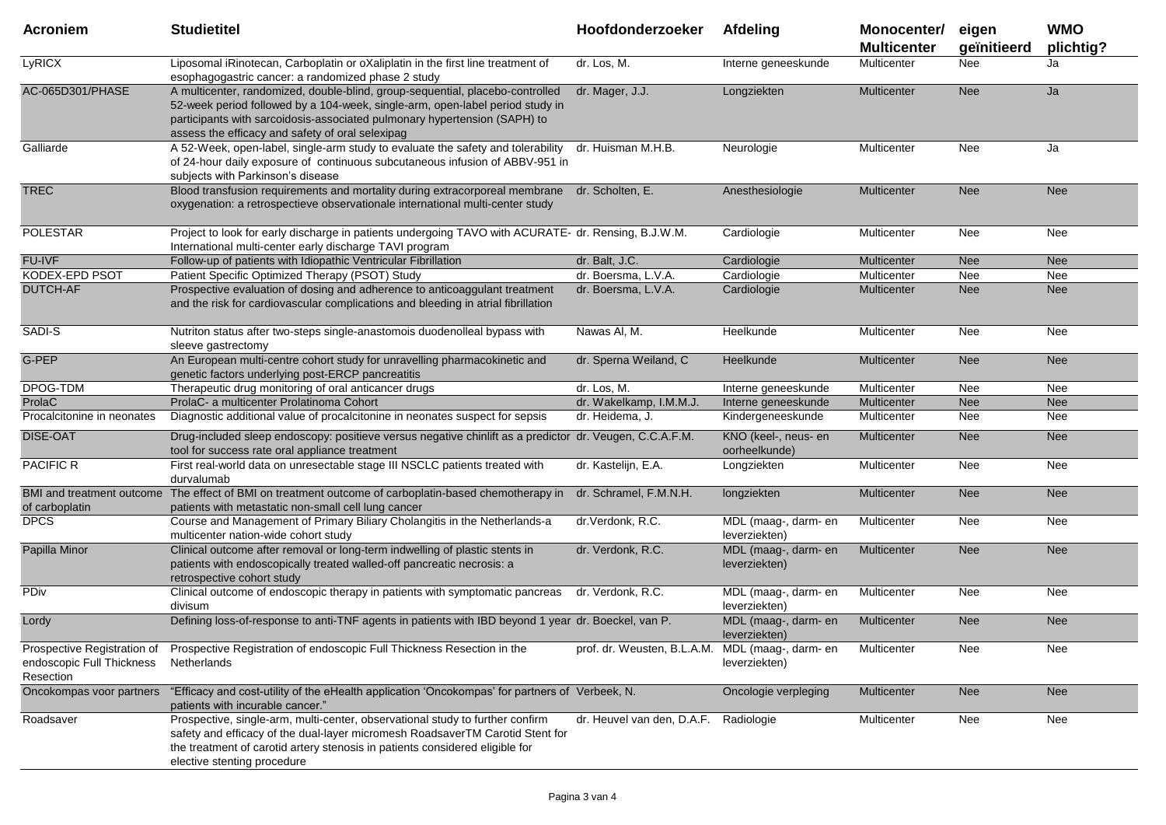| <b>Acroniem</b>                        | <b>Studietitel</b>                                                                                                                                                                                                                                                                              | Hoofdonderzoeker                                 | Afdeling                              | Monocenter/<br><b>Multicenter</b> | eigen<br>geïnitieerd | <b>WMO</b><br>plichtig? |
|----------------------------------------|-------------------------------------------------------------------------------------------------------------------------------------------------------------------------------------------------------------------------------------------------------------------------------------------------|--------------------------------------------------|---------------------------------------|-----------------------------------|----------------------|-------------------------|
| LyRICX                                 | Liposomal iRinotecan, Carboplatin or oXaliplatin in the first line treatment of<br>esophagogastric cancer: a randomized phase 2 study                                                                                                                                                           | dr. Los, M.                                      | Interne geneeskunde                   | Multicenter                       | Nee                  | Ja                      |
| AC-065D301/PHASE                       | A multicenter, randomized, double-blind, group-sequential, placebo-controlled<br>52-week period followed by a 104-week, single-arm, open-label period study in<br>participants with sarcoidosis-associated pulmonary hypertension (SAPH) to<br>assess the efficacy and safety of oral selexipag | dr. Mager, J.J.                                  | Longziekten                           | Multicenter                       | <b>Nee</b>           | Ja                      |
| Galliarde                              | A 52-Week, open-label, single-arm study to evaluate the safety and tolerability<br>of 24-hour daily exposure of continuous subcutaneous infusion of ABBV-951 in<br>subjects with Parkinson's disease                                                                                            | dr. Huisman M.H.B.                               | Neurologie                            | Multicenter                       | Nee                  | Ja                      |
| <b>TREC</b>                            | Blood transfusion requirements and mortality during extracorporeal membrane dr. Scholten, E.<br>oxygenation: a retrospectieve observationale international multi-center study                                                                                                                   |                                                  | Anesthesiologie                       | Multicenter                       | <b>Nee</b>           | <b>Nee</b>              |
| <b>POLESTAR</b>                        | Project to look for early discharge in patients undergoing TAVO with ACURATE- dr. Rensing, B.J.W.M.<br>International multi-center early discharge TAVI program                                                                                                                                  |                                                  | Cardiologie                           | Multicenter                       | Nee                  | Nee                     |
| FU-IVF                                 | Follow-up of patients with Idiopathic Ventricular Fibrillation                                                                                                                                                                                                                                  | dr. Balt, J.C.                                   | Cardiologie                           | Multicenter                       | <b>Nee</b>           | Nee                     |
| KODEX-EPD PSOT                         | Patient Specific Optimized Therapy (PSOT) Study                                                                                                                                                                                                                                                 | dr. Boersma, L.V.A.                              | Cardiologie                           | Multicenter                       | Nee                  | Nee                     |
| <b>DUTCH-AF</b>                        | Prospective evaluation of dosing and adherence to anticoaggulant treatment<br>and the risk for cardiovascular complications and bleeding in atrial fibrillation                                                                                                                                 | dr. Boersma, L.V.A.                              | Cardiologie                           | Multicenter                       | <b>Nee</b>           | <b>Nee</b>              |
| SADI-S                                 | Nutriton status after two-steps single-anastomois duodenolleal bypass with<br>sleeve gastrectomy                                                                                                                                                                                                | Nawas Al, M.                                     | Heelkunde                             | Multicenter                       | Nee                  | Nee                     |
| G-PEP                                  | An European multi-centre cohort study for unravelling pharmacokinetic and<br>genetic factors underlying post-ERCP pancreatitis                                                                                                                                                                  | dr. Sperna Weiland, C                            | Heelkunde                             | <b>Multicenter</b>                | <b>Nee</b>           | <b>Nee</b>              |
| DPOG-TDM                               | Therapeutic drug monitoring of oral anticancer drugs                                                                                                                                                                                                                                            | dr. Los, M.                                      | Interne geneeskunde                   | Multicenter                       | Nee                  | Nee                     |
| ProlaC                                 | ProlaC- a multicenter Prolatinoma Cohort                                                                                                                                                                                                                                                        | dr. Wakelkamp, I.M.M.J.                          | Interne geneeskunde                   | Multicenter                       | <b>Nee</b>           | <b>Nee</b>              |
| Procalcitonine in neonates             | Diagnostic additional value of procalcitonine in neonates suspect for sepsis                                                                                                                                                                                                                    | dr. Heidema, J.                                  | Kindergeneeskunde                     | Multicenter                       | Nee                  | Nee                     |
| <b>DISE-OAT</b>                        | Drug-included sleep endoscopy: positieve versus negative chinlift as a predictor dr. Veugen, C.C.A.F.M.<br>tool for success rate oral appliance treatment                                                                                                                                       |                                                  | KNO (keel-, neus- en<br>oorheelkunde) | Multicenter                       | <b>Nee</b>           | <b>Nee</b>              |
| <b>PACIFIC R</b>                       | First real-world data on unresectable stage III NSCLC patients treated with<br>durvalumab                                                                                                                                                                                                       | dr. Kastelijn, E.A.                              | Longziekten                           | Multicenter                       | Nee                  | Nee                     |
| of carboplatin                         | BMI and treatment outcome The effect of BMI on treatment outcome of carboplatin-based chemotherapy in<br>patients with metastatic non-small cell lung cancer                                                                                                                                    | dr. Schramel, F.M.N.H.                           | longziekten                           | Multicenter                       | <b>Nee</b>           | Nee                     |
| <b>DPCS</b>                            | Course and Management of Primary Biliary Cholangitis in the Netherlands-a<br>multicenter nation-wide cohort study                                                                                                                                                                               | dr.Verdonk, R.C.                                 | MDL (maag-, darm- en<br>leverziekten) | Multicenter                       | Nee                  | Nee                     |
| Papilla Minor                          | Clinical outcome after removal or long-term indwelling of plastic stents in<br>patients with endoscopically treated walled-off pancreatic necrosis: a<br>retrospective cohort study                                                                                                             | dr. Verdonk, R.C.                                | MDL (maag-, darm- en<br>leverziekten) | Multicenter                       | <b>Nee</b>           | <b>Nee</b>              |
| PDiv                                   | Clinical outcome of endoscopic therapy in patients with symptomatic pancreas<br>divisum                                                                                                                                                                                                         | dr. Verdonk, R.C.                                | MDL (maag-, darm- en<br>leverziekten) | Multicenter                       | Nee                  | Nee                     |
| Lordy                                  | Defining loss-of-response to anti-TNF agents in patients with IBD beyond 1 year dr. Boeckel, van P.                                                                                                                                                                                             |                                                  | MDL (maag-, darm- en<br>leverziekten) | Multicenter                       | <b>Nee</b>           | <b>Nee</b>              |
| endoscopic Full Thickness<br>Resection | Prospective Registration of Prospective Registration of endoscopic Full Thickness Resection in the<br>Netherlands                                                                                                                                                                               | prof. dr. Weusten, B.L.A.M. MDL (maag-, darm- en | leverziekten)                         | Multicenter                       | Nee                  | Nee                     |
| Oncokompas voor partners               | "Efficacy and cost-utility of the eHealth application 'Oncokompas' for partners of Verbeek, N.<br>patients with incurable cancer."                                                                                                                                                              |                                                  | Oncologie verpleging                  | Multicenter                       | <b>Nee</b>           | <b>Nee</b>              |
| Roadsaver                              | Prospective, single-arm, multi-center, observational study to further confirm<br>safety and efficacy of the dual-layer micromesh RoadsaverTM Carotid Stent for<br>the treatment of carotid artery stenosis in patients considered eligible for<br>elective stenting procedure                   | dr. Heuvel van den, D.A.F.                       | Radiologie                            | Multicenter                       | Nee                  | Nee                     |